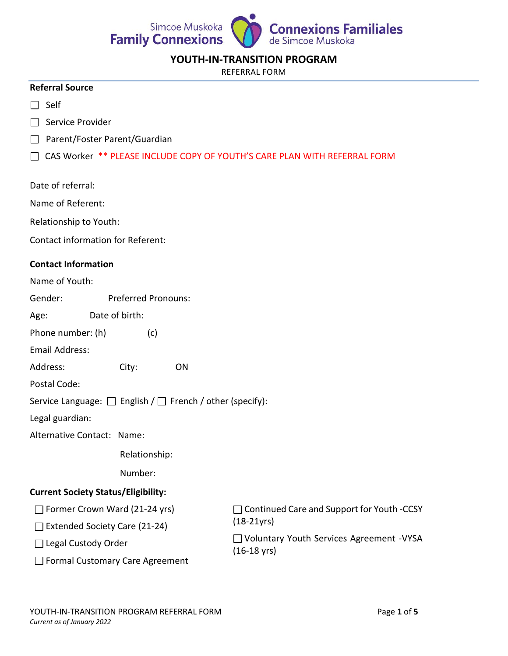

### **YOUTH-IN-TRANSITION PROGRAM**

REFERRAL FORM

#### **Referral Source**

- $\Box$  Self
- $\Box$  Service Provider
- □ Parent/Foster Parent/Guardian
- CAS Worker \*\* PLEASE INCLUDE COPY OF YOUTH'S CARE PLAN WITH REFERRAL FORM
- Date of referral:
- Name of Referent:
- Relationship to Youth:
- Contact information for Referent:

### **Contact Information**

- Name of Youth:
- Gender: Preferred Pronouns:
- Age: Date of birth:
- Phone number: (h) (c)
- Email Address:
- Address: City: ON
- Postal Code:
- Service Language:  $\Box$  English /  $\Box$  French / other (specify):
- Legal guardian:
- Alternative Contact: Name:

Relationship:

Number:

### **Current Society Status/Eligibility:**

- $\Box$  Former Crown Ward (21-24 yrs)
- $\Box$  Extended Society Care (21-24)
- □ Legal Custody Order

□ Continued Care and Support for Youth -CCSY (18-21yrs)

Voluntary Youth Services Agreement -VYSA (16-18 yrs)

□ Formal Customary Care Agreement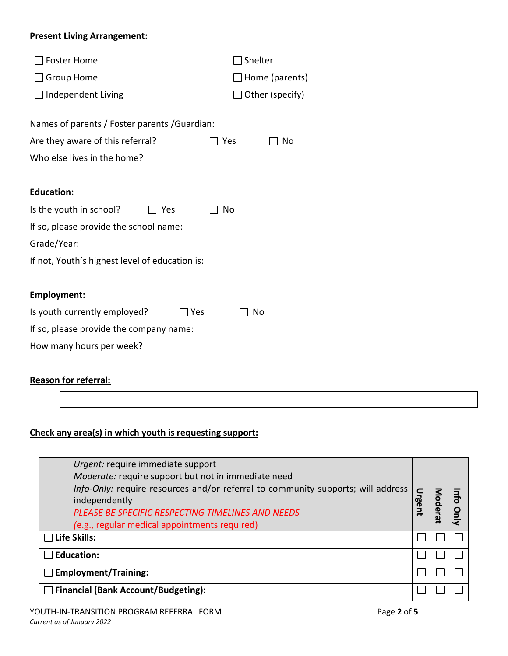### **Present Living Arrangement:**

| <b>Foster Home</b>                             | Shelter                   |  |  |
|------------------------------------------------|---------------------------|--|--|
| ] Group Home                                   | $\Box$ Home (parents)     |  |  |
| $\Box$ Independent Living                      | $\exists$ Other (specify) |  |  |
| Names of parents / Foster parents / Guardian:  |                           |  |  |
| Are they aware of this referral?               | No<br>Yes                 |  |  |
| Who else lives in the home?                    |                           |  |  |
|                                                |                           |  |  |
| <b>Education:</b>                              |                           |  |  |
| Is the youth in school?<br>Yes                 | No                        |  |  |
| If so, please provide the school name:         |                           |  |  |
| Grade/Year:                                    |                           |  |  |
| If not, Youth's highest level of education is: |                           |  |  |
|                                                |                           |  |  |
| <b>Employment:</b>                             |                           |  |  |
| Is youth currently employed?<br>Yes            | No                        |  |  |
| If so, please provide the company name:        |                           |  |  |
| How many hours per week?                       |                           |  |  |

## **Reason for referral:**

# **Check any area(s) in which youth is requesting support:**

| Urgent: require immediate support<br>Moderate: require support but not in immediate need<br>Info-Only: require resources and/or referral to community supports; will address<br>independently<br>PLEASE BE SPECIFIC RESPECTING TIMELINES AND NEEDS<br>(e.g., regular medical appointments required) |  |  |
|-----------------------------------------------------------------------------------------------------------------------------------------------------------------------------------------------------------------------------------------------------------------------------------------------------|--|--|
| $\Box$ Life Skills:                                                                                                                                                                                                                                                                                 |  |  |
| <b>Education:</b>                                                                                                                                                                                                                                                                                   |  |  |
| $\Box$ Employment/Training:                                                                                                                                                                                                                                                                         |  |  |
| <b>Financial (Bank Account/Budgeting):</b>                                                                                                                                                                                                                                                          |  |  |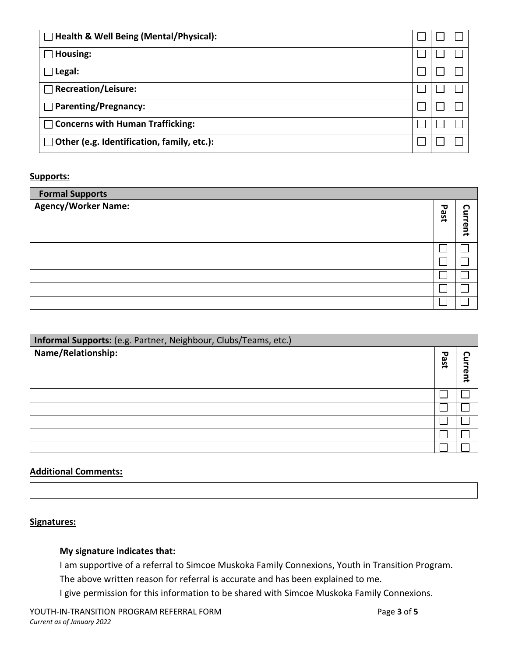| $\Box$ Health & Well Being (Mental/Physical):     |  |  |  |
|---------------------------------------------------|--|--|--|
| Housing:                                          |  |  |  |
| Legal:                                            |  |  |  |
| <b>Recreation/Leisure:</b>                        |  |  |  |
| $\Box$ Parenting/Pregnancy:                       |  |  |  |
| $\Box$ Concerns with Human Trafficking:           |  |  |  |
| $\Box$ Other (e.g. Identification, family, etc.): |  |  |  |

### **Supports:**

| <b>Formal Supports</b><br><b>Agency/Worker Name:</b> | ᇃ<br>ase | O<br>c        |
|------------------------------------------------------|----------|---------------|
|                                                      |          | <b>Irrent</b> |
|                                                      |          |               |
|                                                      |          |               |
|                                                      |          |               |
|                                                      |          |               |
|                                                      |          |               |

| Informal Supports: (e.g. Partner, Neighbour, Clubs/Teams, etc.) |               |                |
|-----------------------------------------------------------------|---------------|----------------|
| Name/Relationship:                                              | τ<br>is<br>Se |                |
|                                                                 |               | <b>GL</b><br>ā |
|                                                                 |               |                |
|                                                                 |               |                |
|                                                                 |               |                |
|                                                                 |               |                |
|                                                                 |               |                |

# **Additional Comments:**

### **Signatures:**

### **My signature indicates that:**

I am supportive of a referral to Simcoe Muskoka Family Connexions, Youth in Transition Program. The above written reason for referral is accurate and has been explained to me.

I give permission for this information to be shared with Simcoe Muskoka Family Connexions.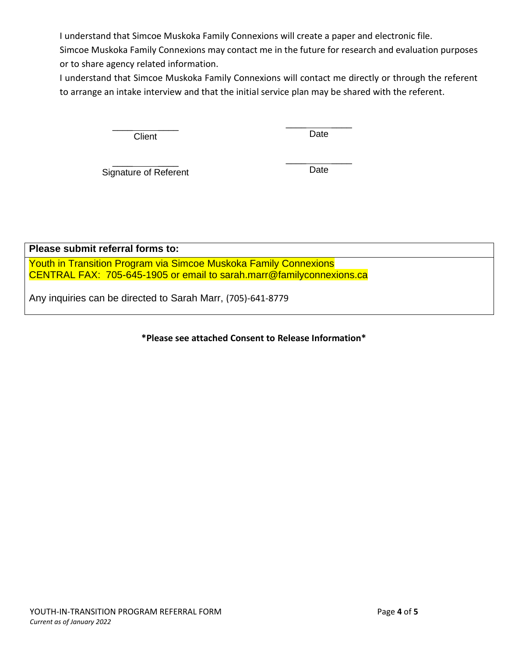I understand that Simcoe Muskoka Family Connexions will create a paper and electronic file.

Simcoe Muskoka Family Connexions may contact me in the future for research and evaluation purposes or to share agency related information.

I understand that Simcoe Muskoka Family Connexions will contact me directly or through the referent to arrange an intake interview and that the initial service plan may be shared with the referent.

> $\frac{1}{2}$  ,  $\frac{1}{2}$  ,  $\frac{1}{2}$  ,  $\frac{1}{2}$  ,  $\frac{1}{2}$  ,  $\frac{1}{2}$ **Client**

 $\frac{1}{2}$  ,  $\frac{1}{2}$  ,  $\frac{1}{2}$  ,  $\frac{1}{2}$  ,  $\frac{1}{2}$ Date

 $\frac{1}{2}$  ,  $\frac{1}{2}$  ,  $\frac{1}{2}$  ,  $\frac{1}{2}$  ,  $\frac{1}{2}$  ,  $\frac{1}{2}$ Signature of Referent  $\frac{1}{2}$  , where  $\frac{1}{2}$ Date

**Please submit referral forms to:**

Youth in Transition Program via Simcoe Muskoka Family Connexions CENTRAL FAX: 705-645-1905 or email to sarah.marr@familyconnexions.ca

Any inquiries can be directed to Sarah Marr, (705)-641-8779

**\*Please see attached Consent to Release Information\***